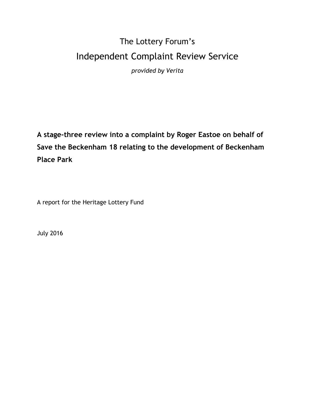# The Lottery Forum's Independent Complaint Review Service

*provided by Verita* 

**A stage-three review into a complaint by Roger Eastoe on behalf of Save the Beckenham 18 relating to the development of Beckenham Place Park**

A report for the Heritage Lottery Fund

July 2016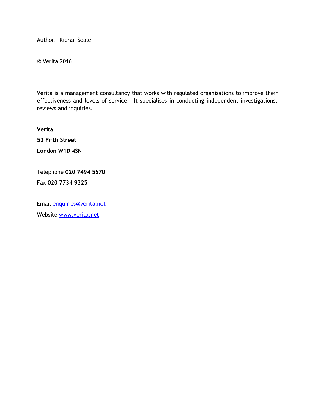Author: Kieran Seale

© Verita 2016

Verita is a management consultancy that works with regulated organisations to improve their effectiveness and levels of service. It specialises in conducting independent investigations, reviews and inquiries.

**Verita 53 Frith Street London W1D 4SN**

Telephone **020 7494 5670** Fax **020 7734 9325**

Email [enquiries@verita.net](mailto:enquiries@verita.net) Website [www.verita.net](http://www.verita.net/)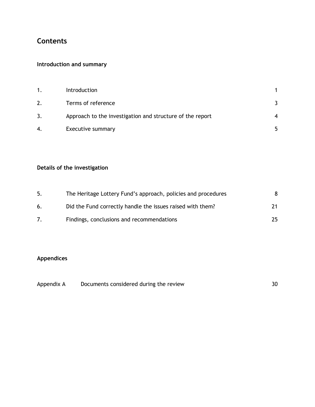# **Contents**

# **Introduction and summary**

| 1. | Introduction                                              |   |
|----|-----------------------------------------------------------|---|
| 2. | Terms of reference                                        |   |
| 3. | Approach to the investigation and structure of the report | ⊿ |
| 4. | Executive summary                                         |   |

# **Details of the investigation**

| 5. | The Heritage Lottery Fund's approach, policies and procedures | 8  |
|----|---------------------------------------------------------------|----|
| 6. | Did the Fund correctly handle the issues raised with them?    | 21 |
|    | Findings, conclusions and recommendations                     | 25 |

# **Appendices**

| Appendix A | Documents considered during the review |  |
|------------|----------------------------------------|--|
|------------|----------------------------------------|--|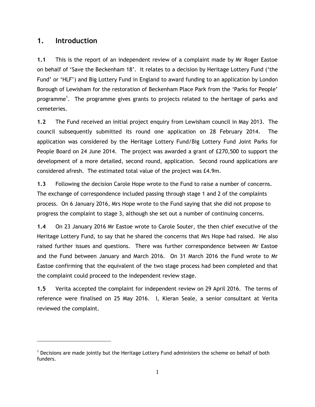# <span id="page-3-0"></span>**1. Introduction**

**1.1** This is the report of an independent review of a complaint made by Mr Roger Eastoe on behalf of "Save the Beckenham 18". It relates to a decision by Heritage Lottery Fund ("the Fund" or "HLF") and Big Lottery Fund in England to award funding to an application by London Borough of Lewisham for the restoration of Beckenham Place Park from the "Parks for People" programme<sup>1</sup>. The programme gives grants to projects related to the heritage of parks and cemeteries.

**1.2** The Fund received an initial project enquiry from Lewisham council in May 2013. The council subsequently submitted its round one application on 28 February 2014. The application was considered by the Heritage Lottery Fund/Big Lottery Fund Joint Parks for People Board on 24 June 2014. The project was awarded a grant of £270,500 to support the development of a more detailed, second round, application. Second round applications are considered afresh. The estimated total value of the project was £4.9m.

**1.3** Following the decision Carole Hope wrote to the Fund to raise a number of concerns. The exchange of correspondence included passing through stage 1 and 2 of the complaints process. On 6 January 2016, Mrs Hope wrote to the Fund saying that she did not propose to progress the complaint to stage 3, although she set out a number of continuing concerns.

**1.4** On 23 January 2016 Mr Eastoe wrote to Carole Souter, the then chief executive of the Heritage Lottery Fund, to say that he shared the concerns that Mrs Hope had raised. He also raised further issues and questions. There was further correspondence between Mr Eastoe and the Fund between January and March 2016. On 31 March 2016 the Fund wrote to Mr Eastoe confirming that the equivalent of the two stage process had been completed and that the complaint could proceed to the independent review stage.

**1.5** Verita accepted the complaint for independent review on 29 April 2016. The terms of reference were finalised on 25 May 2016. I, Kieran Seale, a senior consultant at Verita reviewed the complaint.

 $1$  Decisions are made jointly but the Heritage Lottery Fund administers the scheme on behalf of both funders.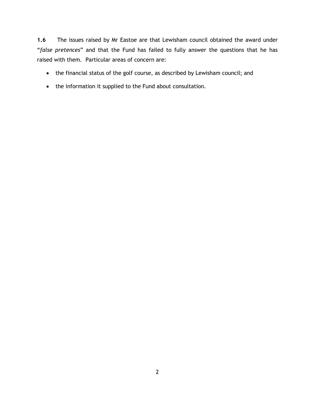**1.6** The issues raised by Mr Eastoe are that Lewisham council obtained the award under "*false pretences*" and that the Fund has failed to fully answer the questions that he has raised with them. Particular areas of concern are:

- the financial status of the golf course, as described by Lewisham council; and
- the information it supplied to the Fund about consultation.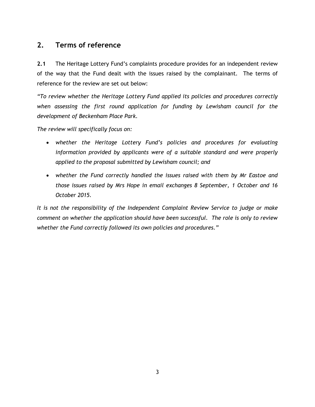# <span id="page-5-0"></span>**2. Terms of reference**

**2.1** The Heritage Lottery Fund"s complaints procedure provides for an independent review of the way that the Fund dealt with the issues raised by the complainant. The terms of reference for the review are set out below:

*"To review whether the Heritage Lottery Fund applied its policies and procedures correctly when assessing the first round application for funding by Lewisham council for the development of Beckenham Place Park.* 

*The review will specifically focus on:* 

- *whether the Heritage Lottery Fund"s policies and procedures for evaluating information provided by applicants were of a suitable standard and were properly applied to the proposal submitted by Lewisham council; and*
- *whether the Fund correctly handled the issues raised with them by Mr Eastoe and those issues raised by Mrs Hope in email exchanges 8 September, 1 October and 16 October 2015.*

*It is not the responsibility of the Independent Complaint Review Service to judge or make comment on whether the application should have been successful. The role is only to review whether the Fund correctly followed its own policies and procedures."*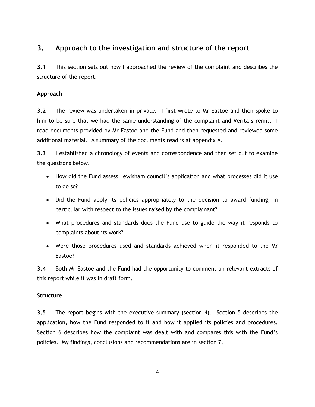# <span id="page-6-0"></span>**3. Approach to the investigation and structure of the report**

**3.1** This section sets out how I approached the review of the complaint and describes the structure of the report.

# **Approach**

**3.2** The review was undertaken in private. I first wrote to Mr Eastoe and then spoke to him to be sure that we had the same understanding of the complaint and Verita's remit. I read documents provided by Mr Eastoe and the Fund and then requested and reviewed some additional material. A summary of the documents read is at appendix A.

**3.3** I established a chronology of events and correspondence and then set out to examine the questions below.

- How did the Fund assess Lewisham council's application and what processes did it use to do so?
- Did the Fund apply its policies appropriately to the decision to award funding, in particular with respect to the issues raised by the complainant?
- What procedures and standards does the Fund use to guide the way it responds to complaints about its work?
- Were those procedures used and standards achieved when it responded to the Mr Eastoe?

**3.4** Both Mr Eastoe and the Fund had the opportunity to comment on relevant extracts of this report while it was in draft form.

# **Structure**

**3.5** The report begins with the executive summary (section 4). Section 5 describes the application, how the Fund responded to it and how it applied its policies and procedures. Section 6 describes how the complaint was dealt with and compares this with the Fund"s policies. My findings, conclusions and recommendations are in section 7.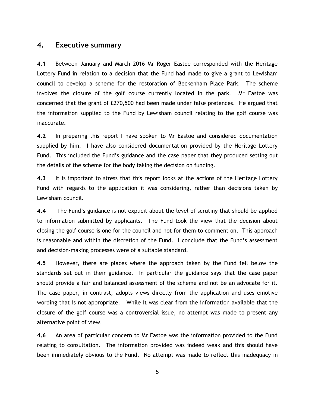### <span id="page-7-0"></span>**4. Executive summary**

**4.1** Between January and March 2016 Mr Roger Eastoe corresponded with the Heritage Lottery Fund in relation to a decision that the Fund had made to give a grant to Lewisham council to develop a scheme for the restoration of Beckenham Place Park. The scheme involves the closure of the golf course currently located in the park. Mr Eastoe was concerned that the grant of £270,500 had been made under false pretences. He argued that the information supplied to the Fund by Lewisham council relating to the golf course was inaccurate.

**4.2** In preparing this report I have spoken to Mr Eastoe and considered documentation supplied by him. I have also considered documentation provided by the Heritage Lottery Fund. This included the Fund"s guidance and the case paper that they produced setting out the details of the scheme for the body taking the decision on funding.

**4.3** It is important to stress that this report looks at the actions of the Heritage Lottery Fund with regards to the application it was considering, rather than decisions taken by Lewisham council.

**4.4** The Fund"s guidance is not explicit about the level of scrutiny that should be applied to information submitted by applicants. The Fund took the view that the decision about closing the golf course is one for the council and not for them to comment on. This approach is reasonable and within the discretion of the Fund. I conclude that the Fund"s assessment and decision-making processes were of a suitable standard.

**4.5** However, there are places where the approach taken by the Fund fell below the standards set out in their guidance. In particular the guidance says that the case paper should provide a fair and balanced assessment of the scheme and not be an advocate for it. The case paper, in contrast, adopts views directly from the application and uses emotive wording that is not appropriate. While it was clear from the information available that the closure of the golf course was a controversial issue, no attempt was made to present any alternative point of view.

**4.6** An area of particular concern to Mr Eastoe was the information provided to the Fund relating to consultation. The information provided was indeed weak and this should have been immediately obvious to the Fund. No attempt was made to reflect this inadequacy in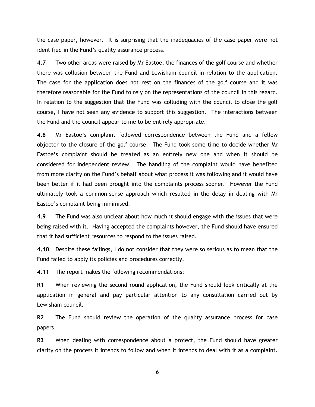the case paper, however. It is surprising that the inadequacies of the case paper were not identified in the Fund"s quality assurance process.

**4.7** Two other areas were raised by Mr Eastoe, the finances of the golf course and whether there was collusion between the Fund and Lewisham council in relation to the application. The case for the application does not rest on the finances of the golf course and it was therefore reasonable for the Fund to rely on the representations of the council in this regard. In relation to the suggestion that the Fund was colluding with the council to close the golf course, I have not seen any evidence to support this suggestion. The interactions between the Fund and the council appear to me to be entirely appropriate.

**4.8** Mr Eastoe"s complaint followed correspondence between the Fund and a fellow objector to the closure of the golf course. The Fund took some time to decide whether Mr Eastoe"s complaint should be treated as an entirely new one and when it should be considered for independent review. The handling of the complaint would have benefited from more clarity on the Fund"s behalf about what process it was following and it would have been better if it had been brought into the complaints process sooner. However the Fund ultimately took a common-sense approach which resulted in the delay in dealing with Mr Eastoe"s complaint being minimised.

**4.9** The Fund was also unclear about how much it should engage with the issues that were being raised with it. Having accepted the complaints however, the Fund should have ensured that it had sufficient resources to respond to the issues raised.

**4.10** Despite these failings, I do not consider that they were so serious as to mean that the Fund failed to apply its policies and procedures correctly.

**4.11** The report makes the following recommendations:

**R1** When reviewing the second round application, the Fund should look critically at the application in general and pay particular attention to any consultation carried out by Lewisham council.

**R2** The Fund should review the operation of the quality assurance process for case papers.

**R3** When dealing with correspondence about a project, the Fund should have greater clarity on the process it intends to follow and when it intends to deal with it as a complaint.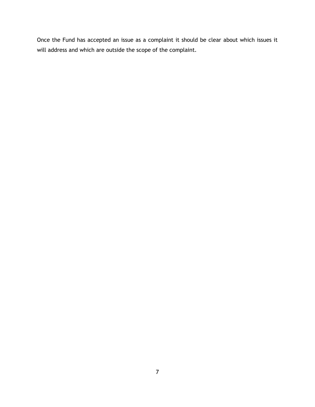Once the Fund has accepted an issue as a complaint it should be clear about which issues it will address and which are outside the scope of the complaint.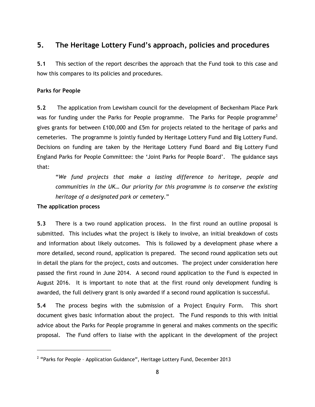# <span id="page-10-0"></span>**5. The Heritage Lottery Fund's approach, policies and procedures**

**5.1** This section of the report describes the approach that the Fund took to this case and how this compares to its policies and procedures.

# **Parks for People**

**5.2** The application from Lewisham council for the development of Beckenham Place Park was for funding under the Parks for People programme. The Parks for People programme<sup>2</sup> gives grants for between £100,000 and £5m for projects related to the heritage of parks and cemeteries. The programme is jointly funded by Heritage Lottery Fund and Big Lottery Fund. Decisions on funding are taken by the Heritage Lottery Fund Board and Big Lottery Fund England Parks for People Committee: the 'Joint Parks for People Board'. The guidance says that:

"*We fund projects that make a lasting difference to heritage, people and communities in the UK… Our priority for this programme is to conserve the existing heritage of a designated park or cemetery.*"

### **The application process**

**5.3** There is a two round application process. In the first round an outline proposal is submitted. This includes what the project is likely to involve, an initial breakdown of costs and information about likely outcomes. This is followed by a development phase where a more detailed, second round, application is prepared. The second round application sets out in detail the plans for the project, costs and outcomes. The project under consideration here passed the first round in June 2014. A second round application to the Fund is expected in August 2016. It is important to note that at the first round only development funding is awarded, the full delivery grant is only awarded if a second round application is successful.

**5.4** The process begins with the submission of a Project Enquiry Form. This short document gives basic information about the project. The Fund responds to this with initial advice about the Parks for People programme in general and makes comments on the specific proposal. The Fund offers to liaise with the applicant in the development of the project

<sup>&</sup>lt;sup>2</sup> "Parks for People - Application Guidance", Heritage Lottery Fund, December 2013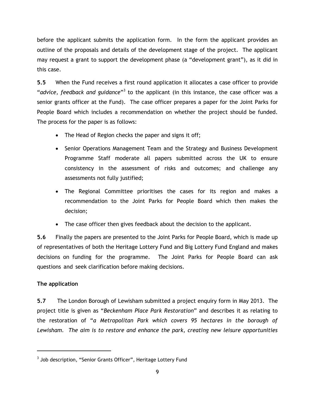before the applicant submits the application form. In the form the applicant provides an outline of the proposals and details of the development stage of the project. The applicant may request a grant to support the development phase (a "development grant"), as it did in this case.

**5.5** When the Fund receives a first round application it allocates a case officer to provide "advice, feedback and guidance"<sup>3</sup> to the applicant (in this instance, the case officer was a senior grants officer at the Fund). The case officer prepares a paper for the Joint Parks for People Board which includes a recommendation on whether the project should be funded. The process for the paper is as follows:

- The Head of Region checks the paper and signs it off;
- Senior Operations Management Team and the Strategy and Business Development Programme Staff moderate all papers submitted across the UK to ensure consistency in the assessment of risks and outcomes; and challenge any assessments not fully justified;
- The Regional Committee prioritises the cases for its region and makes a recommendation to the Joint Parks for People Board which then makes the decision;
- The case officer then gives feedback about the decision to the applicant.

**5.6** Finally the papers are presented to the Joint Parks for People Board, which is made up of representatives of both the Heritage Lottery Fund and Big Lottery Fund England and makes decisions on funding for the programme. The Joint Parks for People Board can ask questions and seek clarification before making decisions.

# **The application**

**5.7** The London Borough of Lewisham submitted a project enquiry form in May 2013. The project title is given as "*Beckenham Place Park Restoration*" and describes it as relating to the restoration of "*a Metropolitan Park which covers 95 hectares in the borough of Lewisham. The aim is to restore and enhance the park, creating new leisure opportunities* 

 $^3$  Job description, "Senior Grants Officer", Heritage Lottery Fund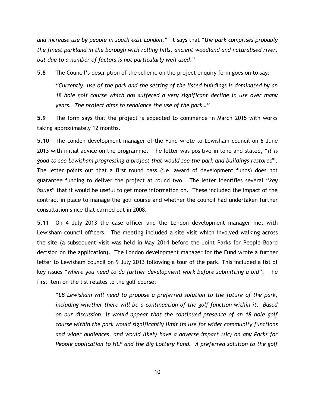*and increase use by people in south east London.*" It says that "t*he park comprises probably the finest parkland in the borough with rolling hills, ancient woodland and naturalised river, but due to a number of factors is not particularly well used*."

**5.8** The Council's description of the scheme on the project enquiry form goes on to say:

*"Currently, use of the park and the setting of the listed buildings is dominated by an 18 hole golf course which has suffered a very significant decline in use over many years. The project aims to rebalance the use of the park…"*

**5.9** The form says that the project is expected to commence in March 2015 with works taking approximately 12 months.

**5.10** The London development manager of the Fund wrote to Lewisham council on 6 June 2013 with initial advice on the programme. The letter was positive in tone and stated, "*it is good to see Lewisham progressing a project that would see the park and buildings restored*". The letter points out that a first round pass (i.e. award of development funds) does not guarantee funding to deliver the project at round two. The letter identifies several "*key issues*" that it would be useful to get more information on. These included the impact of the contract in place to manage the golf course and whether the council had undertaken further consultation since that carried out in 2008.

**5.11** On 4 July 2013 the case officer and the London development manager met with Lewisham council officers. The meeting included a site visit which involved walking across the site (a subsequent visit was held in May 2014 before the Joint Parks for People Board decision on the application). The London development manager for the Fund wrote a further letter to Lewisham council on 9 July 2013 following a tour of the park. This included a list of key issues "*where you need to do further development work before submitting a bid*". The first item on the list relates to the golf course:

"*LB Lewisham will need to propose a preferred solution to the future of the park, including whether there will be a continuation of the golf function within it. Based on our discussion, it would appear that the continued presence of an 18 hole golf course within the park would significantly limit its use for wider community functions and wider audiences, and would likely have a adverse impact (sic) on any Parks for People application to HLF and the Big Lottery Fund. A preferred solution to the golf*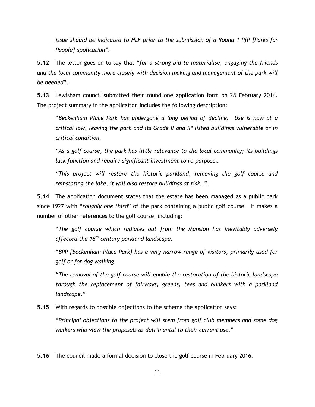*issue should be indicated to HLF prior to the submission of a Round 1 PfP [Parks for People] application".*

**5.12** The letter goes on to say that "*for a strong bid to materialise, engaging the friends and the local community more closely with decision making and management of the park will be needed*".

**5.13** Lewisham council submitted their round one application form on 28 February 2014. The project summary in the application includes the following description:

"*Beckenham Place Park has undergone a long period of decline. Use is now at a critical low, leaving the park and its Grade II and II\* listed buildings vulnerable or in critical condition.* 

*"As a golf-course, the park has little relevance to the local community; its buildings lack function and require significant investment to re-purpose…* 

*"This project will restore the historic parkland, removing the golf course and reinstating the lake, it will also restore buildings at risk…*".

**5.14** The application document states that the estate has been managed as a public park since 1927 with "*roughly one third*" of the park containing a public golf course. It makes a number of other references to the golf course, including:

"*The golf course which radiates out from the Mansion has inevitably adversely affected the 18th century parkland landscape.*

"*BPP [Beckenham Place Park] has a very narrow range of visitors, primarily used for golf or for dog walking.*

"*The removal of the golf course will enable the restoration of the historic landscape through the replacement of fairways, greens, tees and bunkers with a parkland landscape.*"

**5.15** With regards to possible objections to the scheme the application says:

"*Principal objections to the project will stem from golf club members and some dog walkers who view the proposals as detrimental to their current use.*"

**5.16** The council made a formal decision to close the golf course in February 2016.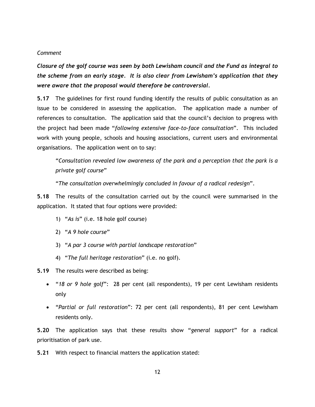#### *Comment*

*Closure of the golf course was seen by both Lewisham council and the Fund as integral to the scheme from an early stage. It is also clear from Lewisham's application that they were aware that the proposal would therefore be controversial.* 

**5.17** The guidelines for first round funding identify the results of public consultation as an issue to be considered in assessing the application. The application made a number of references to consultation. The application said that the council's decision to progress with the project had been made "*following extensive face-to-face consultation*". This included work with young people, schools and housing associations, current users and environmental organisations. The application went on to say:

"*Consultation revealed low awareness of the park and a perception that the park is a private golf course*"

"*The consultation overwhelmingly concluded in favour of a radical redesign*".

**5.18** The results of the consultation carried out by the council were summarised in the application. It stated that four options were provided:

- 1) "*As is*" (i.e. 18 hole golf course)
- 2) "*A 9 hole course*"
- 3) "*A par 3 course with partial landscape restoration*"
- 4) "*The full heritage restoration*" (i.e. no golf).

**5.19** The results were described as being:

- "*18 or 9 hole golf*": 28 per cent (all respondents), 19 per cent Lewisham residents only
- "*Partial or full restoration*": 72 per cent (all respondents), 81 per cent Lewisham residents only.

**5.20** The application says that these results show "*general support*" for a radical prioritisation of park use.

**5.21** With respect to financial matters the application stated: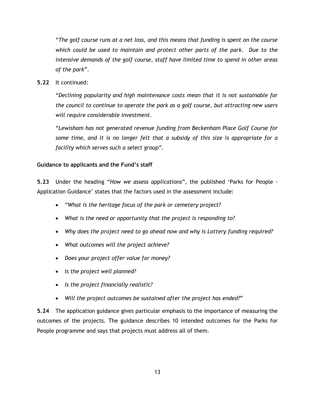"*The golf course runs at a net loss, and this means that funding is spent on the course which could be used to maintain and protect other parts of the park. Due to the intensive demands of the golf course, staff have limited time to spend in other areas of the park*".

**5.22** It continued:

"*Declining popularity and high maintenance costs mean that it is not sustainable for the council to continue to operate the park as a golf course, but attracting new users will require considerable investment*.

"*Lewisham has not generated revenue funding from Beckenham Place Golf Course for*  some time, and it is no longer felt that a subsidy of this size is appropriate for a *facility which serves such a select group".*

### **Guidance to applicants and the Fund's staff**

**5.23** Under the heading "*How we assess applications*", the published "Parks for People - Application Guidance" states that the factors used in the assessment include:

- *"What is the heritage focus of the park or cemetery project?*
- *What is the need or opportunity that the project is responding to?*
- *Why does the project need to go ahead now and why is Lottery funding required?*
- *What outcomes will the project achieve?*
- *Does your project offer value for money?*
- *Is the project well planned?*
- *Is the project financially realistic?*
- *Will the project outcomes be sustained after the project has ended?*"

**5.24** The application guidance gives particular emphasis to the importance of measuring the outcomes of the projects. The guidance describes 10 intended outcomes for the Parks for People programme and says that projects must address all of them.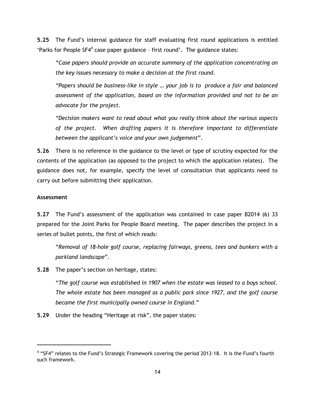**5.25** The Fund"s internal guidance for staff evaluating first round applications is entitled 'Parks for People SF4<sup>4</sup> case paper guidance - first round'. The guidance states:

"*Case papers should provide an accurate summary of the application concentrating on the key issues necessary to make a decision at the first round.* 

*"Papers should be business-like in style … your job is to produce a fair and balanced assessment of the application, based on the information provided and not to be an advocate for the project.* 

*"Decision makers want to read about what you really think about the various aspects of the project. When drafting papers it is therefore important to differentiate between the applicant"s voice and your own judgement*".

**5.26** There is no reference in the guidance to the level or type of scrutiny expected for the contents of the application (as opposed to the project to which the application relates). The guidance does not, for example, specify the level of consultation that applicants need to carry out before submitting their application.

### **Assessment**

**5.27** The Fund"s assessment of the application was contained in case paper B2014 (6) 33 prepared for the Joint Parks for People Board meeting. The paper describes the project in a series of bullet points, the first of which reads:

"*Removal of 18-hole golf course, replacing fairways, greens, tees and bunkers with a parkland landscape*".

**5.28** The paper"s section on heritage, states:

"*The golf course was established in 1907 when the estate was leased to a boys school. The whole estate has been managed as a public park since 1927, and the golf course became the first municipally owned course in England*."

**5.29** Under the heading "Heritage at risk", the paper states:

<sup>&</sup>lt;sup>4</sup> "SF4" relates to the Fund's Strategic Framework covering the period 2013-18. It is the Fund's fourth such framework.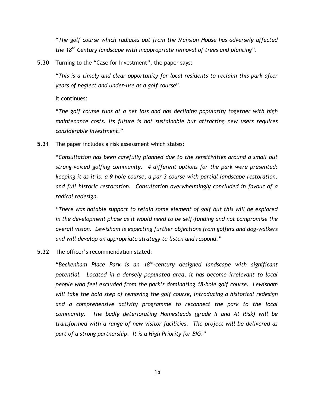"*The golf course which radiates out from the Mansion House has adversely affected the 18th Century landscape with inappropriate removal of trees and planting*".

**5.30** Turning to the "Case for Investment", the paper says:

"*This is a timely and clear opportunity for local residents to reclaim this park after years of neglect and under-use as a golf course*".

It continues:

"*The golf course runs at a net loss and has declining popularity together with high maintenance costs. Its future is not sustainable but attracting new users requires considerable investment*."

**5.31** The paper includes a risk assessment which states:

"*Consultation has been carefully planned due to the sensitivities around a small but strong-voiced golfing community. 4 different options for the park were presented: keeping it as it is, a 9-hole course, a par 3 course with partial landscape restoration, and full historic restoration. Consultation overwhelmingly concluded in favour of a radical redesign.* 

*"There was notable support to retain some element of golf but this will be explored*  in the development phase as it would need to be self-funding and not compromise the *overall vision. Lewisham is expecting further objections from golfers and dog-walkers and will develop an appropriate strategy to listen and respond."* 

#### **5.32** The officer"s recommendation stated:

"*Beckenham Place Park is an 18th-century designed landscape with significant potential. Located in a densely populated area, it has become irrelevant to local people who feel excluded from the park"s dominating 18-hole golf course. Lewisham will take the bold step of removing the golf course, introducing a historical redesign and a comprehensive activity programme to reconnect the park to the local community. The badly deteriorating Homesteads (grade II and At Risk) will be transformed with a range of new visitor facilities. The project will be delivered as part of a strong partnership. It is a High Priority for BIG.*"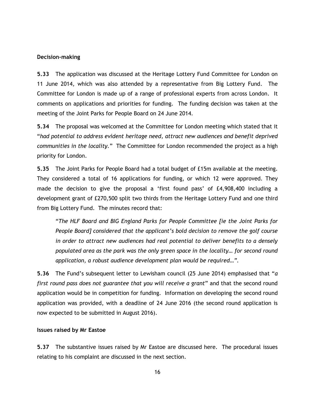#### **Decision-making**

**5.33** The application was discussed at the Heritage Lottery Fund Committee for London on 11 June 2014, which was also attended by a representative from Big Lottery Fund. The Committee for London is made up of a range of professional experts from across London. It comments on applications and priorities for funding. The funding decision was taken at the meeting of the Joint Parks for People Board on 24 June 2014.

**5.34** The proposal was welcomed at the Committee for London meeting which stated that it "*had potential to address evident heritage need, attract new audiences and benefit deprived communities in the locality.*" The Committee for London recommended the project as a high priority for London.

**5.35** The Joint Parks for People Board had a total budget of £15m available at the meeting. They considered a total of 16 applications for funding, or which 12 were approved. They made the decision to give the proposal a 'first found pass' of £4,908,400 including a development grant of £270,500 split two thirds from the Heritage Lottery Fund and one third from Big Lottery Fund. The minutes record that:

"*The HLF Board and BIG England Parks for People Committee [ie the Joint Parks for People Board] considered that the applicant"s bold decision to remove the golf course in order to attract new audiences had real potential to deliver benefits to a densely populated area as the park was the only green space in the locality… for second round application, a robust audience development plan would be required…".* 

**5.36** The Fund"s subsequent letter to Lewisham council (25 June 2014) emphasised that "*a first round pass does not guarantee that you will receive a grant*" and that the second round application would be in competition for funding. Information on developing the second round application was provided, with a deadline of 24 June 2016 (the second round application is now expected to be submitted in August 2016).

#### **Issues raised by Mr Eastoe**

**5.37** The substantive issues raised by Mr Eastoe are discussed here. The procedural issues relating to his complaint are discussed in the next section.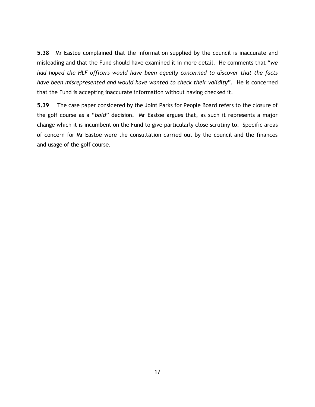**5.38** Mr Eastoe complained that the information supplied by the council is inaccurate and misleading and that the Fund should have examined it in more detail. He comments that "*we had hoped the HLF officers would have been equally concerned to discover that the facts have been misrepresented and would have wanted to check their validity*". He is concerned that the Fund is accepting inaccurate information without having checked it.

**5.39** The case paper considered by the Joint Parks for People Board refers to the closure of the golf course as a "*bold*" decision. Mr Eastoe argues that, as such it represents a major change which it is incumbent on the Fund to give particularly close scrutiny to. Specific areas of concern for Mr Eastoe were the consultation carried out by the council and the finances and usage of the golf course.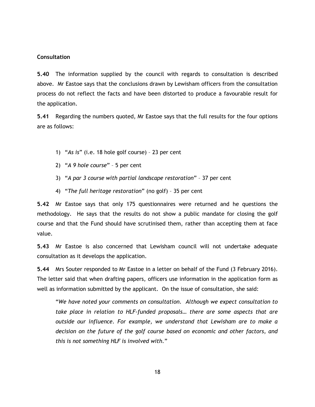#### **Consultation**

**5.40** The information supplied by the council with regards to consultation is described above. Mr Eastoe says that the conclusions drawn by Lewisham officers from the consultation process do not reflect the facts and have been distorted to produce a favourable result for the application.

**5.41** Regarding the numbers quoted, Mr Eastoe says that the full results for the four options are as follows:

- 1) "*As is*" (i.e. 18 hole golf course) 23 per cent
- 2) "*A 9 hole course*" 5 per cent
- 3) "*A par 3 course with partial landscape restoration*" 37 per cent
- 4) "*The full heritage restoration*" (no golf) 35 per cent

**5.42** Mr Eastoe says that only 175 questionnaires were returned and he questions the methodology. He says that the results do not show a public mandate for closing the golf course and that the Fund should have scrutinised them, rather than accepting them at face value.

**5.43** Mr Eastoe is also concerned that Lewisham council will not undertake adequate consultation as it develops the application.

**5.44** Mrs Souter responded to Mr Eastoe in a letter on behalf of the Fund (3 February 2016). The letter said that when drafting papers, officers use information in the application form as well as information submitted by the applicant. On the issue of consultation, she said:

"*We have noted your comments on consultation. Although we expect consultation to take place in relation to HLF-funded proposals… there are some aspects that are outside our influence. For example, we understand that Lewisham are to make a decision on the future of the golf course based on economic and other factors, and this is not something HLF is involved with.*"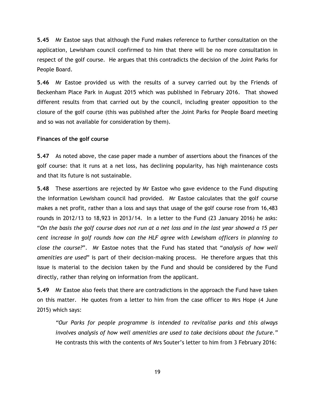**5.45** Mr Eastoe says that although the Fund makes reference to further consultation on the application, Lewisham council confirmed to him that there will be no more consultation in respect of the golf course. He argues that this contradicts the decision of the Joint Parks for People Board.

**5.46** Mr Eastoe provided us with the results of a survey carried out by the Friends of Beckenham Place Park in August 2015 which was published in February 2016. That showed different results from that carried out by the council, including greater opposition to the closure of the golf course (this was published after the Joint Parks for People Board meeting and so was not available for consideration by them).

#### **Finances of the golf course**

**5.47** As noted above, the case paper made a number of assertions about the finances of the golf course: that it runs at a net loss, has declining popularity, has high maintenance costs and that its future is not sustainable.

**5.48** These assertions are rejected by Mr Eastoe who gave evidence to the Fund disputing the information Lewisham council had provided. Mr Eastoe calculates that the golf course makes a net profit, rather than a loss and says that usage of the golf course rose from 16,483 rounds in 2012/13 to 18,923 in 2013/14. In a letter to the Fund (23 January 2016) he asks: "*On the basis the golf course does not run at a net loss and in the last year showed a 15 per cent increase in golf rounds how can the HLF agree with Lewisham officers in planning to close the course?*". Mr Eastoe notes that the Fund has stated that "*analysis of how well amenities are used*" is part of their decision-making process. He therefore argues that this issue is material to the decision taken by the Fund and should be considered by the Fund directly, rather than relying on information from the applicant.

**5.49** Mr Eastoe also feels that there are contradictions in the approach the Fund have taken on this matter. He quotes from a letter to him from the case officer to Mrs Hope (4 June 2015) which says:

*"Our Parks for people programme is intended to revitalise parks and this always involves analysis of how well amenities are used to take decisions about the future."* He contrasts this with the contents of Mrs Souter's letter to him from 3 February 2016: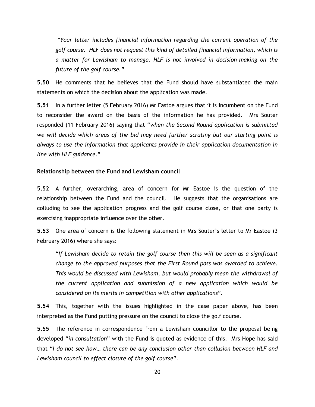*"Your letter includes financial information regarding the current operation of the golf course. HLF does not request this kind of detailed financial information, which is a matter for Lewisham to manage. HLF is not involved in decision-making on the future of the golf course."*

**5.50** He comments that he believes that the Fund should have substantiated the main statements on which the decision about the application was made.

**5.51** In a further letter (5 February 2016) Mr Eastoe argues that it is incumbent on the Fund to reconsider the award on the basis of the information he has provided. Mrs Souter responded (11 February 2016) saying that "*when the Second Round application is submitted we will decide which areas of the bid may need further scrutiny but our starting point is always to use the information that applicants provide in their application documentation in line with HLF guidance.*"

#### **Relationship between the Fund and Lewisham council**

**5.52** A further, overarching, area of concern for Mr Eastoe is the question of the relationship between the Fund and the council. He suggests that the organisations are colluding to see the application progress and the golf course close, or that one party is exercising inappropriate influence over the other.

**5.53** One area of concern is the following statement in Mrs Souter"s letter to Mr Eastoe (3 February 2016) where she says:

"*If Lewisham decide to retain the golf course then this will be seen as a significant change to the approved purposes that the First Round pass was awarded to achieve. This would be discussed with Lewisham, but would probably mean the withdrawal of the current application and submission of a new application which would be considered on its merits in competition with other applications*".

**5.54** This, together with the issues highlighted in the case paper above, has been interpreted as the Fund putting pressure on the council to close the golf course.

**5.55** The reference in correspondence from a Lewisham councillor to the proposal being developed "*in consultation*" with the Fund is quoted as evidence of this. Mrs Hope has said that "*I do not see how… there can be any conclusion other than collusion between HLF and Lewisham council to effect closure of the golf course*".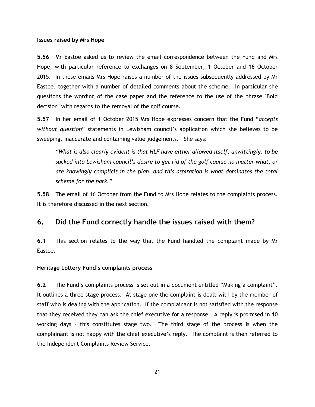#### **Issues raised by Mrs Hope**

**5.56** Mr Eastoe asked us to review the email correspondence between the Fund and Mrs Hope, with particular reference to exchanges on 8 September, 1 October and 16 October 2015. In these emails Mrs Hope raises a number of the issues subsequently addressed by Mr Eastoe, together with a number of detailed comments about the scheme. In particular she questions the wording of the case paper and the reference to the use of the phrase "Bold decision" with regards to the removal of the golf course.

**5.57** In her email of 1 October 2015 Mrs Hope expresses concern that the Fund "*accepts without question*" statements in Lewisham council"s application which she believes to be sweeping, inaccurate and containing value judgements. She says:

*"What is also clearly evident is that HLF have either allowed itself, unwittingly, to be sucked into Lewisham council"s desire to get rid of the golf course no matter what, or are knowingly complicit in the plan, and this aspiration is what dominates the total scheme for the park."*

**5.58** The email of 16 October from the Fund to Mrs Hope relates to the complaints process. It is therefore discussed in the next section.

# <span id="page-23-0"></span>**6. Did the Fund correctly handle the issues raised with them?**

**6.1** This section relates to the way that the Fund handled the complaint made by Mr Eastoe.

#### **Heritage Lottery Fund's complaints process**

**6.2** The Fund"s complaints process is set out in a document entitled "Making a complaint". It outlines a three stage process. At stage one the complaint is dealt with by the member of staff who is dealing with the application. If the complainant is not satisfied with the response that they received they can ask the chief executive for a response. A reply is promised in 10 working days – this constitutes stage two. The third stage of the process is when the complainant is not happy with the chief executive's reply. The complaint is then referred to the Independent Complaints Review Service.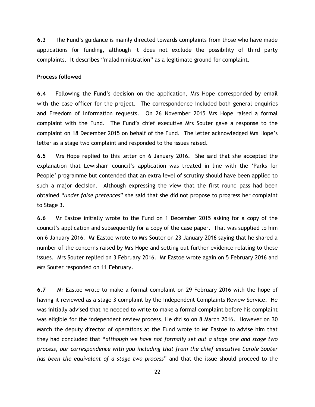**6.3** The Fund"s guidance is mainly directed towards complaints from those who have made applications for funding, although it does not exclude the possibility of third party complaints. It describes "maladministration" as a legitimate ground for complaint.

#### **Process followed**

**6.4** Following the Fund"s decision on the application, Mrs Hope corresponded by email with the case officer for the project. The correspondence included both general enquiries and Freedom of Information requests. On 26 November 2015 Mrs Hope raised a formal complaint with the Fund. The Fund"s chief executive Mrs Souter gave a response to the complaint on 18 December 2015 on behalf of the Fund. The letter acknowledged Mrs Hope"s letter as a stage two complaint and responded to the issues raised.

**6.5** Mrs Hope replied to this letter on 6 January 2016. She said that she accepted the explanation that Lewisham council's application was treated in line with the 'Parks for People" programme but contended that an extra level of scrutiny should have been applied to such a major decision. Although expressing the view that the first round pass had been obtained "*under false pretences*" she said that she did not propose to progress her complaint to Stage 3.

**6.6** Mr Eastoe initially wrote to the Fund on 1 December 2015 asking for a copy of the council"s application and subsequently for a copy of the case paper. That was supplied to him on 6 January 2016. Mr Eastoe wrote to Mrs Souter on 23 January 2016 saying that he shared a number of the concerns raised by Mrs Hope and setting out further evidence relating to these issues. Mrs Souter replied on 3 February 2016. Mr Eastoe wrote again on 5 February 2016 and Mrs Souter responded on 11 February.

**6.7** Mr Eastoe wrote to make a formal complaint on 29 February 2016 with the hope of having it reviewed as a stage 3 complaint by the Independent Complaints Review Service. He was initially advised that he needed to write to make a formal complaint before his complaint was eligible for the independent review process, He did so on 8 March 2016. However on 30 March the deputy director of operations at the Fund wrote to Mr Eastoe to advise him that they had concluded that "*although we have not formally set out a stage one and stage two process, our correspondence with you including that from the chief executive Carole Souter has been the equivalent of a stage two process*" and that the issue should proceed to the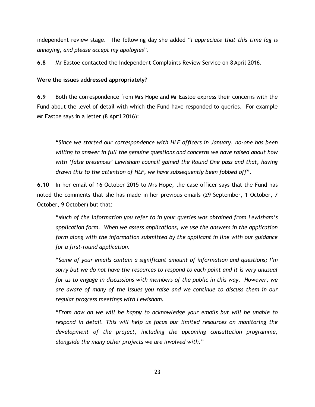independent review stage. The following day she added "*I appreciate that this time lag is annoying, and please accept my apologies*".

**6.8** Mr Eastoe contacted the Independent Complaints Review Service on 8 April 2016.

### **Were the issues addressed appropriately?**

**6.9** Both the correspondence from Mrs Hope and Mr Eastoe express their concerns with the Fund about the level of detail with which the Fund have responded to queries. For example Mr Eastoe says in a letter (8 April 2016):

"*Since we started our correspondence with HLF officers in January, no-one has been willing to answer in full the genuine questions and concerns we have raised about how with "false presences" Lewisham council gained the Round One pass and that, having drawn this to the attention of HLF, we have subsequently been fobbed off*".

**6.10** In her email of 16 October 2015 to Mrs Hope, the case officer says that the Fund has noted the comments that she has made in her previous emails (29 September, 1 October, 7 October, 9 October) but that:

"Much of the information you refer to in your queries was obtained from Lewisham's *application form. When we assess applications, we use the answers in the application form along with the information submitted by the applicant in line with our guidance for a first-round application.*

"*Some of your emails contain a significant amount of information and questions; I"m sorry but we do not have the resources to respond to each point and it is very unusual for us to engage in discussions with members of the public in this way. However, we are aware of many of the issues you raise and we continue to discuss them in our regular progress meetings with Lewisham.*

"*From now on we will be happy to acknowledge your emails but will be unable to respond in detail. This will help us focus our limited resources on monitoring the development of the project, including the upcoming consultation programme, alongside the many other projects we are involved with.*"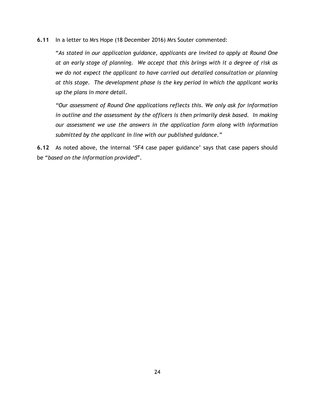**6.11** In a letter to Mrs Hope (18 December 2016) Mrs Souter commented:

"*As stated in our application guidance, applicants are invited to apply at Round One at an early stage of planning. We accept that this brings with it a degree of risk as we do not expect the applicant to have carried out detailed consultation or planning at this stage. The development phase is the key period in which the applicant works up the plans in more detail.*

*"Our assessment of Round One applications reflects this. We only ask for information*  in outline and the assessment by the officers is then primarily desk based. In making *our assessment we use the answers in the application form along with information submitted by the applicant in line with our published guidance."*

**6.12** As noted above, the internal 'SF4 case paper guidance' says that case papers should be "*based on the information provided*".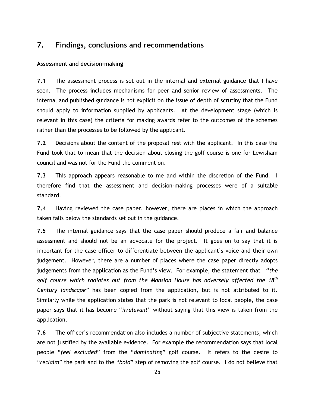# <span id="page-27-0"></span>**7. Findings, conclusions and recommendations**

#### **Assessment and decision-making**

**7.1** The assessment process is set out in the internal and external guidance that I have seen. The process includes mechanisms for peer and senior review of assessments. The internal and published guidance is not explicit on the issue of depth of scrutiny that the Fund should apply to information supplied by applicants. At the development stage (which is relevant in this case) the criteria for making awards refer to the outcomes of the schemes rather than the processes to be followed by the applicant.

**7.2** Decisions about the content of the proposal rest with the applicant. In this case the Fund took that to mean that the decision about closing the golf course is one for Lewisham council and was not for the Fund the comment on.

**7.3** This approach appears reasonable to me and within the discretion of the Fund. I therefore find that the assessment and decision-making processes were of a suitable standard.

**7.4** Having reviewed the case paper, however, there are places in which the approach taken falls below the standards set out in the guidance.

**7.5** The internal guidance says that the case paper should produce a fair and balance assessment and should not be an advocate for the project. It goes on to say that it is important for the case officer to differentiate between the applicant"s voice and their own judgement. However, there are a number of places where the case paper directly adopts judgements from the application as the Fund"s view. For example, the statement that "*the golf course which radiates out from the Mansion House has adversely affected the 18th Century landscape"* has been copied from the application, but is not attributed to it. Similarly while the application states that the park is not relevant to local people, the case paper says that it has become "*irrelevant*" without saying that this view is taken from the application.

**7.6** The officer"s recommendation also includes a number of subjective statements, which are not justified by the available evidence. For example the recommendation says that local people "*feel excluded*" from the "*dominating*" golf course. It refers to the desire to "*reclaim*" the park and to the "*bold*" step of removing the golf course. I do not believe that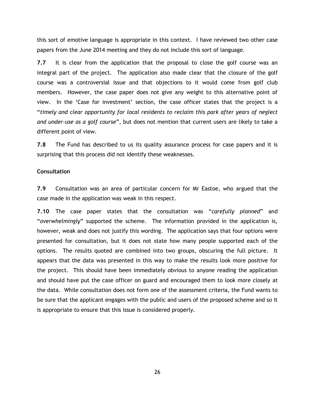this sort of emotive language is appropriate in this context. I have reviewed two other case papers from the June 2014 meeting and they do not include this sort of language.

**7.7** It is clear from the application that the proposal to close the golf course was an integral part of the project. The application also made clear that the closure of the golf course was a controversial issue and that objections to it would come from golf club members. However, the case paper does not give any weight to this alternative point of view. In the "Case for investment" section, the case officer states that the project is a "*timely and clear opportunity for local residents to reclaim this park after years of neglect and under-use as a golf course*", but does not mention that current users are likely to take a different point of view.

**7.8** The Fund has described to us its quality assurance process for case papers and it is surprising that this process did not identify these weaknesses.

#### **Consultation**

**7.9** Consultation was an area of particular concern for Mr Eastoe, who argued that the case made in the application was weak in this respect.

**7.10** The case paper states that the consultation was "*carefully planned*" and "*overwhelmingly*" supported the scheme. The information provided in the application is, however, weak and does not justify this wording. The application says that four options were presented for consultation, but it does not state how many people supported each of the options. The results quoted are combined into two groups, obscuring the full picture. It appears that the data was presented in this way to make the results look more positive for the project. This should have been immediately obvious to anyone reading the application and should have put the case officer on guard and encouraged them to look more closely at the data. While consultation does not form one of the assessment criteria, the Fund wants to be sure that the applicant engages with the public and users of the proposed scheme and so it is appropriate to ensure that this issue is considered properly.

26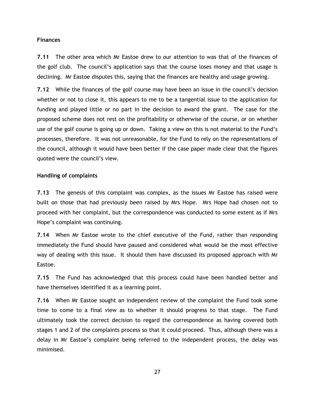#### **Finances**

**7.11** The other area which Mr Eastoe drew to our attention to was that of the finances of the golf club. The council"s application says that the course loses money and that usage is declining. Mr Eastoe disputes this, saying that the finances are healthy and usage growing.

**7.12** While the finances of the golf course may have been an issue in the council"s decision whether or not to close it, this appears to me to be a tangential issue to the application for funding and played little or no part in the decision to award the grant. The case for the proposed scheme does not rest on the profitability or otherwise of the course, or on whether use of the golf course is going up or down. Taking a view on this is not material to the Fund"s processes, therefore. It was not unreasonable, for the Fund to rely on the representations of the council, although it would have been better if the case paper made clear that the figures quoted were the council"s view.

#### **Handling of complaints**

**7.13** The genesis of this complaint was complex, as the issues Mr Eastoe has raised were built on those that had previously been raised by Mrs Hope. Mrs Hope had chosen not to proceed with her complaint, but the correspondence was conducted to some extent as if Mrs Hope"s complaint was continuing.

**7.14** When Mr Eastoe wrote to the chief executive of the Fund, rather than responding immediately the Fund should have paused and considered what would be the most effective way of dealing with this issue. It should then have discussed its proposed approach with Mr Eastoe.

**7.15** The Fund has acknowledged that this process could have been handled better and have themselves identified it as a learning point.

**7.16** When Mr Eastoe sought an independent review of the complaint the Fund took some time to come to a final view as to whether it should progress to that stage. The Fund ultimately took the correct decision to regard the correspondence as having covered both stages 1 and 2 of the complaints process so that it could proceed. Thus, although there was a delay in Mr Eastoe"s complaint being referred to the independent process, the delay was minimised.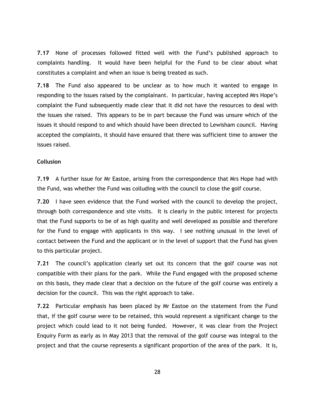**7.17** None of processes followed fitted well with the Fund"s published approach to complaints handling. It would have been helpful for the Fund to be clear about what constitutes a complaint and when an issue is being treated as such.

**7.18** The Fund also appeared to be unclear as to how much it wanted to engage in responding to the issues raised by the complainant. In particular, having accepted Mrs Hope"s complaint the Fund subsequently made clear that it did not have the resources to deal with the issues she raised. This appears to be in part because the Fund was unsure which of the issues it should respond to and which should have been directed to Lewisham council. Having accepted the complaints, it should have ensured that there was sufficient time to answer the issues raised.

#### **Collusion**

**7.19** A further issue for Mr Eastoe, arising from the correspondence that Mrs Hope had with the Fund, was whether the Fund was colluding with the council to close the golf course.

**7.20** I have seen evidence that the Fund worked with the council to develop the project, through both correspondence and site visits. It is clearly in the public interest for projects that the Fund supports to be of as high quality and well developed as possible and therefore for the Fund to engage with applicants in this way. I see nothing unusual in the level of contact between the Fund and the applicant or in the level of support that the Fund has given to this particular project.

**7.21** The council"s application clearly set out its concern that the golf course was not compatible with their plans for the park. While the Fund engaged with the proposed scheme on this basis, they made clear that a decision on the future of the golf course was entirely a decision for the council. This was the right approach to take.

**7.22** Particular emphasis has been placed by Mr Eastoe on the statement from the Fund that, if the golf course were to be retained, this would represent a significant change to the project which could lead to it not being funded. However, it was clear from the Project Enquiry Form as early as in May 2013 that the removal of the golf course was integral to the project and that the course represents a significant proportion of the area of the park. It is,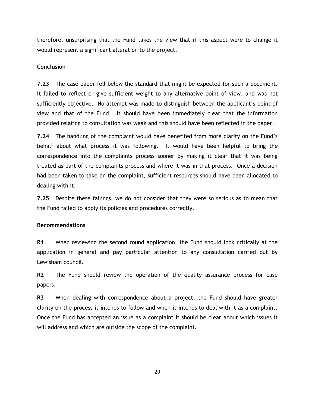therefore, unsurprising that the Fund takes the view that if this aspect were to change it would represent a significant alteration to the project.

#### **Conclusion**

**7.23** The case paper fell below the standard that might be expected for such a document. It failed to reflect or give sufficient weight to any alternative point of view, and was not sufficiently objective. No attempt was made to distinguish between the applicant"s point of view and that of the Fund. It should have been immediately clear that the information provided relating to consultation was weak and this should have been reflected in the paper.

**7.24** The handling of the complaint would have benefited from more clarity on the Fund"s behalf about what process it was following. It would have been helpful to bring the correspondence into the complaints process sooner by making it clear that it was being treated as part of the complaints process and where it was in that process. Once a decision had been taken to take on the complaint, sufficient resources should have been allocated to dealing with it.

**7.25** Despite these failings, we do not consider that they were so serious as to mean that the Fund failed to apply its policies and procedures correctly.

#### **Recommendations**

**R1** When reviewing the second round application, the Fund should look critically at the application in general and pay particular attention to any consultation carried out by Lewisham council.

**R2** The Fund should review the operation of the quality assurance process for case papers.

**R3** When dealing with correspondence about a project, the Fund should have greater clarity on the process it intends to follow and when it intends to deal with it as a complaint. Once the Fund has accepted an issue as a complaint it should be clear about which issues it will address and which are outside the scope of the complaint.

29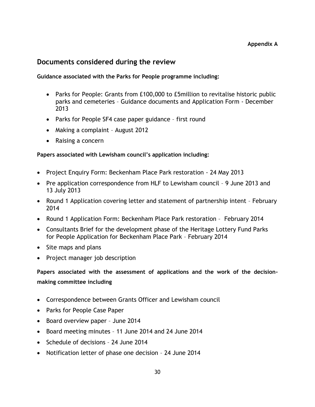# <span id="page-32-0"></span>**Documents considered during the review**

### **Guidance associated with the Parks for People programme including:**

- Parks for People: Grants from £100,000 to £5million to revitalise historic public parks and cemeteries – Guidance documents and Application Form - December 2013
- Parks for People SF4 case paper guidance first round
- Making a complaint August 2012
- Raising a concern

### **Papers associated with Lewisham council's application including:**

- Project Enquiry Form: Beckenham Place Park restoration 24 May 2013
- Pre application correspondence from HLF to Lewisham council 9 June 2013 and 13 July 2013
- Round 1 Application covering letter and statement of partnership intent February 2014
- Round 1 Application Form: Beckenham Place Park restoration February 2014
- Consultants Brief for the development phase of the Heritage Lottery Fund Parks for People Application for Beckenham Place Park – February 2014
- Site maps and plans
- Project manager job description

**Papers associated with the assessment of applications and the work of the decisionmaking committee including** 

- Correspondence between Grants Officer and Lewisham council
- Parks for People Case Paper
- Board overview paper June 2014
- Board meeting minutes 11 June 2014 and 24 June 2014
- Schedule of decisions 24 June 2014
- Notification letter of phase one decision 24 June 2014